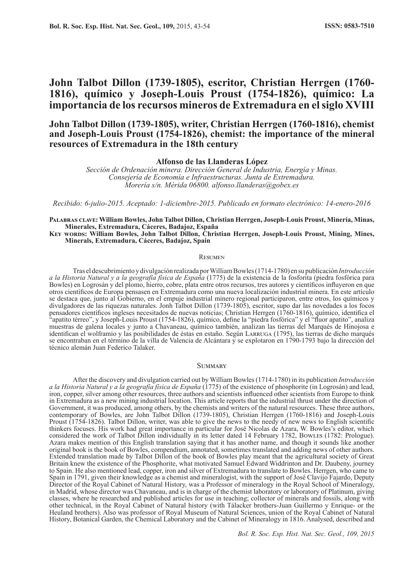## **John Talbot Dillon (1739-1805), escritor, Christian Herrgen (1760- 1816), químico y Joseph-Louis Proust (1754-1826), químico: La importancia de los recursos mineros de Extremadura en el siglo XVIII**

## **John Talbot Dillon (1739-1805), writer, Christian Herrgen (1760-1816), chemist and Joseph-Louis Proust (1754-1826), chemist: the importance of the mineral resources of Extremadura in the 18th century**

### **Alfonso de las Llanderas López**

*Sección de Ordenación minera. Dirección General de Industria, Energía y Minas. Consejería de Economía e Infraestructuras. Junta de Extremadura. Morería s/n. Mérida 06800. alfonso.llanderas@gobex.es*

*Recibido: 6-julio-2015. Aceptado: 1-diciembre-2015. Publicado en formato electrónico: 14-enero-2016*

#### **Palabras clave: William Bowles, John Talbot Dillon, Christian Herrgen, Joseph-Louis Proust, Minería, Minas, Minerales, Extremadura, Cáceres, Badajoz, España**

**Key words: William Bowles, John Talbot Dillon, Christian Herrgen, Joseph-Louis Proust, Mining, Mines, Minerals, Extremadura, Cáceres, Badajoz, Spain**

#### **RESUMEN**

Tras el descubrimiento y divulgación realizada por William Bowles (1714-1780) en su publicación *Introducción a la Historia Natural y a la geografía física de España* (1775) de la existencia de la fosforita (piedra fosfórica para Bowles) en Logrosán y del plomo, hierro, cobre, plata entre otros recursos, tres autores y científicos influyeron en que otros científicos de Europa pensasen en Extremadura como una nueva localización industrial minera. En este artículo se destaca que, junto al Gobierno, en el empuje industrial minero regional participaron, entre otros, los químicos y divulgadores de las riquezas naturales. Jonh Talbot Dillon (1739-1805), escritor, supo dar las novedades a los focos pensadores científicos ingleses necesitados de nuevas noticias; Christian Herrgen (1760-1816), químico, identifica el "apatito térreo", y Joseph-Louis Proust (1754-1826), químico, define la "piedra fosfórica" y el "fluor apatito", analiza muestras de galena locales y junto a Chavaneau, químico también, analizan las tierras del Marqués de Hinojosa e identifican el wolframio y las posibilidades de éstas en estaño. Según LARRUGA (1795), las tierras de dicho marqués se encontraban en el término de la villa de Valencia de Alcántara y se explotaron en 1790-1793 bajo la dirección del técnico alemán Juan Federico Talaker.

#### **SUMMARY**

After the discovery and divulgation carried out by William Bowles (1714-1780) in its publication *Introducción a la Historia Natural y a la geografía física de España* (1775) of the existence of phosphorite (in Logrosán) and lead, iron, copper, silver among other resources, three authors and scientists influenced other scientists from Europe to think in Extremadura as a new mining industrial location. This article reports that the industrial thrust under the direction of Government, it was produced, among others, by the chemists and writers of the natural resources. These three authors, contemporary of Bowles, are John Talbot Dillon (1739-1805), Christian Herrgen (1760-1816) and Joseph-Louis Proust (1754-1826). Talbot Dillon, writer, was able to give the news to the needy of new news to English scientific thinkers focuses. His work had great importance in particular for José Nicolas de Azara, W. Bowles's editor, which considered the work of Talbot Dillon individually in its letter dated 14 February 1782, Bowles (1782: Prologue). Azara makes mention of this English translation saying that it has another name, and though it sounds like another original book is the book of Bowles, compendium, annotated, sometimes translated and adding news of other authors. Extended translation made by Talbot Dillon of the book of Bowles play meant that the agricultural society of Great Britain knew the existence of the Phosphorite, what motivated Samuel Edward Widdrinton and Dr. Daubeny, journey to Spain. He also mentioned lead, copper, iron and silver of Extremadura to translate to Bowles. Herrgen, who came to Spain in 1791, given their knowledge as a chemist and mineralogist, with the support of José Clavijo Fajardo, Deputy Director of the Royal Cabinet of Natural History, was a Professor of mineralogy in the Royal School of Mineralogy, in Madrid, whose director was Chavaneau, and is in charge of the chemist laboratory or laboratory of Platinum, giving classes, where he researched and published articles for use in teaching; collector of minerals and fossils, along with other technical, in the Royal Cabinet of Natural history (with Tálacker brothers-Juan Guillermo y Enrique- or the Heuland brothers). Also was professor of Royal Museum of Natural Sciences, union of the Royal Cabinet of Natural History, Botanical Garden, the Chemical Laboratory and the Cabinet of Mineralogy in 1816. Analysed, described and

*Bol. R. Soc. Esp. Hist. Nat. Sec. Geol., 109, 2015*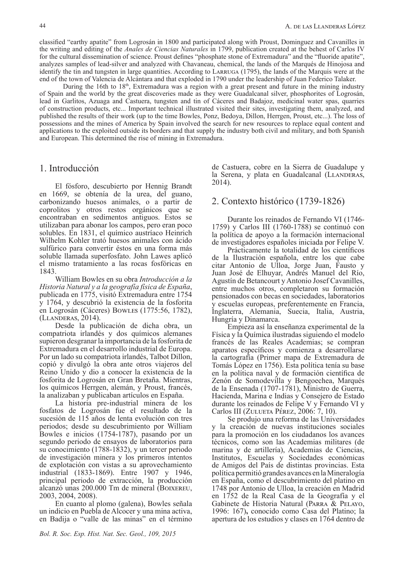classified "earthy apatite" from Logrosán in 1800 and participated along with Proust, Dominguez and Cavanilles in the writing and editing of the *Anales de Ciencias Naturales* in 1799, publication created at the behest of Carlos IV for the cultural dissemination of science. Proust defines "phosphate stone of Extremadura" and the "fluoride apatite", analyzes samples of lead-silver and analyzed with Chavaneau, chemical, the lands of the Marqués de Hinojosa and identify the tin and tungsten in large quantities. According to Larruga (1795), the lands of the Marquis were at the end of the town of Valencia de Alcántara and that exploded in 1790 under the leadership of Juan Federico Talaker.

During the 16th to  $18<sup>th</sup>$ , Extremadura was a region with a great present and future in the mining industry of Spain and the world by the great discoveries made as they were Guadalcanal silver, phosphorites of Logrosán, lead in Garlitos, Azuaga and Castuera, tungsten and tin of Cáceres and Badajoz, medicinal water spas, quarries of construction products, etc... Important technical illustrated visited their sites, investigating them, analyzed, and published the results of their work (up to the time Bowles, Ponz, Bedoya, Dillon, Herrgen, Proust, etc...). The loss of possessions and the mines of America by Spain involved the search for new resources to replace equal content and applications to the exploited outside its borders and that supply the industry both civil and military, and both Spanish and European. This determined the rise of mining in Extremadura.

2014).

## 1. Introducción

El fósforo, descubierto por Hennig Brandt en 1669, se obtenía de la urea, del guano, carbonizando huesos animales, o a partir de coprolitos y otros restos orgánicos que se encontraban en sedimentos antiguos. Estos se utilizaban para abonar los campos, pero eran poco solubles. En 1831, el químico austríaco Heinrich Wilhelm Kohler trató huesos animales con ácido sulfúrico para convertir éstos en una forma más soluble llamada superfosfato. John Lawes aplicó el mismo tratamiento a las rocas fosfóricas en 1843.

William Bowles en su obra *Introducción a la Historia Natural y a la geografía física de España*, publicada en 1775, visitó Extremadura entre 1754 y 1764, y descubrió la existencia de la fosforita en Logrosán (Cáceres) Bowles (1775:56, 1782), (Llanderas, 2014).

Desde la publicación de dicha obra, un compatriota irlandés y dos químicos alemanes supieron desgranar la importancia de la fosforita de Extremadura en el desarrollo industrial de Europa. Por un lado su compatriota irlandés, Talbot Dillon, copió y divulgó la obra ante otros viajeros del Reino Unido y dio a conocer la existencia de la fosforita de Logrosán en Gran Bretaña. Mientras, los químicos Herrgen, alemán, y Proust, francés, la analizaban y publicaban artículos en España.

La historia pre-industrial minera de los fosfatos de Logrosán fue el resultado de la sucesión de 115 años de lenta evolución con tres periodos; desde su descubrimiento por William Bowles e inicios (1754-1787), pasando por un segundo periodo de ensayos de laboratorios para su conocimiento (1788-1832), y un tercer periodo de investigación minera y los primeros intentos de explotación con vistas a su aprovechamiento industrial (1833-1869). Entre 1907 y 1946, principal periodo de extracción, la producción alcanzó unas 200.000 Tm de mineral (BOIXEREU, 2003, 2004, 2008).

En cuanto al plomo (galena), Bowles señala un indicio en Puebla de Alcocer y una mina activa, en Badija o "valle de las minas" en el término

2. Contexto histórico (1739-1826) Durante los reinados de Fernando VI (1746-

1759) y Carlos III (1760-1788) se continuó con la política de apoyo a la formación internacional de investigadores españoles iniciada por Felipe V.

de Castuera, cobre en la Sierra de Guadalupe y la Serena, y plata en Guadalcanal (LLANDERAS,

Prácticamente la totalidad de los científicos de la Ilustración española, entre los que cabe citar Antonio de Ulloa, Jorge Juan, Fausto y Juan José de Elhuyar, Andrés Manuel del Río, Agustín de Betancourt y Antonio Josef Cavanilles, entre muchos otros, completaron su formación pensionados con becas en sociedades, laboratorios y escuelas europeas, preferentemente en Francia, Inglaterra, Alemania, Suecia, Italia, Austria, Hungría y Dinamarca.

Empieza así la enseñanza experimental de la Física y la Química ilustradas siguiendo el modelo francés de las Reales Academias; se compran aparatos específicos y comienza a desarrollarse la cartografía (Primer mapa de Extremadura de Tomás López en 1756). Esta política tenía su base en la política naval y de formación científica de Zenón de Somodevilla y Bengoechea, Marqués de la Ensenada (1707-1781), Ministro de Guerra, Hacienda, Marina e Indias y Consejero de Estado durante los reinados de Felipe V y Fernando VI y Carlos III (ZULUETA PÉREZ, 2006: 7, 10).

Se produjo una reforma de las Universidades y la creación de nuevas instituciones sociales para la promoción en los ciudadanos los avances técnicos, como son las Academias militares (de marina y de artillería), Academias de Ciencias, Institutos, Escuelas y Sociedades económicas de Amigos del País de distintas provincias. Esta política permitió grandes avances en la Mineralogía en España, como el descubrimiento del platino en 1748 por Antonio de Ulloa, la creación en Madrid en 1752 de la Real Casa de la Geografía y el Gabinete de Historia Natural (Parra & Pelayo, 1996: 167)**,** conocido como Casa del Platino; la apertura de los estudios y clases en 1764 dentro de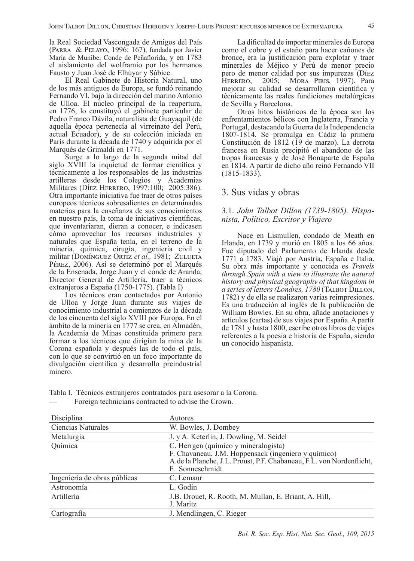la Real Sociedad Vascongada de Amigos del País (Parra & Pelayo, 1996: 167), fundada por Javier María de Munibe, Conde de Peñaflorida, y en 1783 el aislamiento del wolframio por los hermanos Fausto y Juan José de Elhúyar y Súbice.

El Real Gabinete de Historia Natural, uno de los más antiguos de Europa, se fundó reinando Fernando VI, bajo la dirección del marino Antonio de Ulloa. El núcleo principal de la reapertura, en 1776, lo constituyó el gabinete particular de Pedro Franco Dávila, naturalista de Guayaquil (de aquella época pertenecía al virreinato del Perú, actual Ecuador), y de su colección iniciada en París durante la década de 1740 y adquirida por el Marqués de Grimaldi en 1771.

Surge a lo largo de la segunda mitad del siglo XVIII la inquietud de formar científica y técnicamente a los responsables de las industrias artilleras desde los Colegios y Academias Militares (Díez HERRERO, 1997:100; 2005:386). Otra importante iniciativa fue traer de otros países europeos técnicos sobresalientes en determinadas materias para la enseñanza de sus conocimientos en nuestro país, la toma de iniciativas científicas, que inventariaran, dieran a conocer, e indicasen cómo aprovechar los recursos industriales y naturales que España tenía, en el terreno de la minería, química, cirugía, ingeniería civil y militar (DOMÍNGUEZ ORTIZ et al., 1981; ZULUETA Pérez, 2006). Así se determinó por el Marqués de la Ensenada, Jorge Juan y el conde de Aranda, Director General de Artillería, traer a técnicos extranjeros a España (1750-1775). (Tabla I)

Los técnicos eran contactados por Antonio de Ulloa y Jorge Juan durante sus viajes de conocimiento industrial a comienzos de la década de los cincuenta del siglo XVIII por Europa. En el ámbito de la minería en 1777 se crea, en Almadén, la Academia de Minas constituida primero para formar a los técnicos que dirigían la mina de la Corona española y después las de todo el país, con lo que se convirtió en un foco importante de divulgación científica y desarrollo preindustrial minero.

La dificultad de importar minerales de Europa como el cobre y el estaño para hacer cañones de bronce, era la justificación para explotar y traer minerales de Méjico y Perú de menor precio pero de menor calidad por sus impurezas (Díez HERRERO, 2005; MORA PIRIS, 1997). Para mejorar su calidad se desarrollaron científica y técnicamente las reales fundiciones metalúrgicas de Sevilla y Barcelona.

Otros hitos históricos de la época son los enfrentamientos bélicos con Inglaterra, Francia y Portugal, destacando la Guerra de la Independencia 1807-1814. Se promulga en Cádiz la primera Constitución de 1812 (19 de marzo). La derrota francesa en Rusia precipitó el abandono de las tropas francesas y de José Bonaparte de España en 1814. A partir de dicho año reinó Fernando VII (1815-1833).

## 3. Sus vidas y obras

## 3.1. *John Talbot Dillon (1739-1805). Hispanista, Político, Escritor y Viajero*

Nace en Lismullen, condado de Meath en Irlanda, en 1739 y murió en 1805 a los 66 años. Fue diputado del Parlamento de Irlanda desde 1771 a 1783. Viajó por Austria, España e Italia. Su obra más importante y conocida es *Travels through Spain with a view to illustrate the natural history and physical geography of that kingdom in a series of letters (Londres, 1780* (Talbot Dillon, 1782) y de ella se realizaron varias reimpresiones. Es una traducción al inglés de la publicación de William Bowles. En su obra, añade anotaciones y artículos (cartas) de sus viajes por España. A partir de 1781 y hasta 1800, escribe otros libros de viajes referentes a la poesía e historia de España, siendo un conocido hispanista.

Tabla I. Técnicos extranjeros contratados para asesorar a la Corona. Foreign technicians contracted to advise the Crown.

| Disciplina                   | Autores                                                                                                                                                                                |
|------------------------------|----------------------------------------------------------------------------------------------------------------------------------------------------------------------------------------|
| Ciencias Naturales           | W. Bowles, J. Dombey                                                                                                                                                                   |
| Metalurgia                   | J. y A. Keterlin, J. Dowling, M. Seidel                                                                                                                                                |
| Química                      | C. Herrgen (químico y mineralogista)<br>F. Chavaneau, J.M. Hoppensack (ingeniero y químico)<br>A.de la Planche, J.L. Proust, P.F. Chabaneau, F.L. von Nordenflicht,<br>F. Sonneschmidt |
| Ingeniería de obras públicas | C. Lemaur                                                                                                                                                                              |
| Astronomía                   | L. Godin                                                                                                                                                                               |
| Artillería                   | J.B. Drouet, R. Rooth, M. Mullan, E. Briant, A. Hill,<br>J. Maritz                                                                                                                     |
| Cartografía                  | J. Mendlingen, C. Rieger                                                                                                                                                               |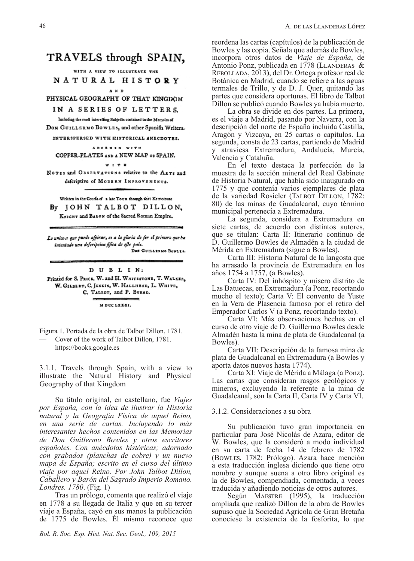## TRAVELS through SPAIN,

WITH A VIEW TO ILLUSTRATE THE NATURAL HISTORY

 $\lambda$   $\mu$   $\eta$ PHYSICAL GEOGRAPHY OF THAT KINGDOM

IN A SERIES OF LETTERS.

Including the moft interesting Subjects contained in the Memoirs of DON GUILLERMO BOWLES, and other Spanifh Writers.

INTERSPERSED WITH HISTORICAL ANECDOTES.

ADORNED WITH COPPER-PLATES AND A NEW MAP or SPAIN.

\* \* \* \*

NOTES and OBSERVATIONS relative to the ARTS and defcriptive of MODERN INPROVEMENTS.

Written in the Courle of a late Town through that KING boat By JOHN TALBOT DILLON. KNIGHT and BARON of the Sacred Roman Empire,

Lo unico a que puedo afpirar, es a la gloria de fer el primero que ha intentado una deferipcion fifica de efte pais. Don Guillingo Bowles.

DUBLIN: Printed for S. PRICE, W. and H. WHITESTONE, T. WALKER, W. GILBERT, C. JENKIN, W. HALLHEAD, L. WHITE, C. TALBOT, and P. BYRNE. MDCCLXXXI.

Figura 1. Portada de la obra de Talbot Dillon, 1781.

— Cover of the work of Talbot Dillon, 1781. https://books.google.es

3.1.1. Travels through Spain, with a view to illustrate the Natural History and Physical Geography of that Kingdom

Su título original, en castellano, fue *Viajes por España, con la idea de ilustrar la Historia natural y la Geografía Física de aquel Reino, en una serie de cartas. Incluyendo lo más interesantes hechos contenidos en las Memorias de Don Guillermo Bowles y otros escritores españoles. Con anécdotas históricas; adornado con grabados (planchas de cobre) y un nuevo mapa de España; escrito en el curso del último viaje por aquel Reino. Por John Talbot Dillon, Caballero y Barón del Sagrado Imperio Romano. Londres. 1780*. (Fig. 1)

Tras un prólogo, comenta que realizó el viaje en 1778 a su llegada de Italia y que en su tercer viaje a España, cayó en sus manos la publicación de 1775 de Bowles. Él mismo reconoce que

reordena las cartas (capítulos) de la publicación de Bowles y las copia. Señala que además de Bowles, incorpora otros datos de *Viaje de España*, de Antonio Ponz, publicada en 1778 (LLANDERAS  $&$ Rebollada, 2013**)**, del Dr. Ortega profesor real de Botánica en Madrid, cuando se refiere a las aguas termales de Trillo, y de D. J. Quer, quitando las partes que considera oportunas. El libro de Talbot Dillon se publicó cuando Bowles ya había muerto.

La obra se divide en dos partes. La primera, es el viaje a Madrid, pasando por Navarra, con la descripción del norte de España incluida Castilla, Aragón y Vizcaya, en 25 cartas o capítulos. La segunda, consta de 23 cartas, partiendo de Madrid y atraviesa Extremadura, Andalucía, Murcia, Valencia y Cataluña.

En el texto destaca la perfección de la muestra de la sección mineral del Real Gabinete de Historia Natural, que había sido inaugurado en 1775 y que contenía varios ejemplares de plata de la variedad Rosicler (Talbot Dillon, 1782: 80) de las minas de Guadalcanal, cuyo término municipal pertenecía a Extremadura.

La segunda, considera a Extremadura en siete cartas, de acuerdo con distintos autores, que se titulan: Carta II: Itinerario continuo de D. Guillermo Bowles de Almadén a la ciudad de Mérida en Extremadura (sigue a Bowles).

Carta III: Historia Natural de la langosta que ha arrasado la provincia de Extremadura en los años 1754 a 1757, (a Bowles).

Carta IV: Del inhóspito y mísero distrito de Las Batuecas, en Extremadura (a Ponz, recortando mucho el texto); Carta V: El convento de Yuste en la Vera de Plasencia famoso por el retiro del Emperador Carlos V (a Ponz, recortando texto).

Carta VI: Más observaciones hechas en el curso de otro viaje de D. Guillermo Bowles desde Almadén hasta la mina de plata de Guadalcanal (a Bowles).

Carta VII: Descripción de la famosa mina de plata de Guadalcanal en Extremadura (a Bowles y aporta datos nuevos hasta 1774).

Carta XI: Viaje de Mérida a Málaga (a Ponz). Las cartas que consideran rasgos geológicos y mineros, excluyendo la referente a la mina de Guadalcanal, son la Carta II, Carta IV y Carta VI.

#### 3.1.2. Consideraciones a su obra

Su publicación tuvo gran importancia en particular para José Nicolás de Azara, editor de W. Bowles, que la consideró a modo individual en su carta de fecha 14 de febrero de 1782 (Bowles, 1782: Prólogo). Azara hace mención a esta traducción inglesa diciendo que tiene otro nombre y aunque suena a otro libro original es la de Bowles, compendiada, comentada, a veces traducida y añadiendo noticias de otros autores.

Según Maestre (1995), la traducción ampliada que realizó Dillon de la obra de Bowles supuso que la Sociedad Agrícola de Gran Bretaña conociese la existencia de la fosforita, lo que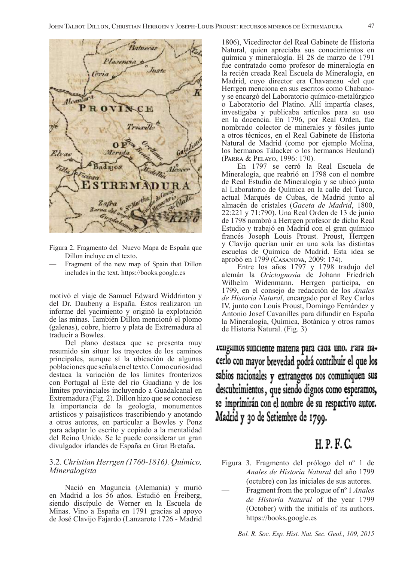

Figura 2. Fragmento del Nuevo Mapa de España que Dillon incluye en el texto.

— Fragment of the new map of Spain that Dillon includes in the text. https://books.google.es

motivó el viaje de Samuel Edward Widdrinton y del Dr. Daubeny a España. Éstos realizaron un informe del yacimiento y originó la explotación de las minas. También Dillon mencionó el plomo (galenas), cobre, hierro y plata de Extremadura al traducir a Bowles.

Del plano destaca que se presenta muy resumido sin situar los trayectos de los caminos principales, aunque sí la ubicación de algunas poblaciones que señala en el texto. Como curiosidad destaca la variación de los límites fronterizos con Portugal al Este del río Guadiana y de los límites provinciales incluyendo a Guadalcanal en Extremadura (Fig. 2). Dillon hizo que se conociese la importancia de la geología, monumentos artísticos y paisajísticos trascribiendo y anotando a otros autores, en particular a Bowles y Ponz para adaptar lo escrito y copiado a la mentalidad del Reino Unido. Se le puede considerar un gran divulgador irlandés de España en Gran Bretaña.

## 3.2. *Christian Herrgen (1760-1816). Químico, Mineralogista*

Nació en Maguncia (Alemania) y murió en Madrid a los 56 años. Estudió en Freiberg, siendo discípulo de Werner en la Escuela de Minas. Vino a España en 1791 gracias al apoyo de José Clavijo Fajardo (Lanzarote 1726 - Madrid

1806), Vicedirector del Real Gabinete de Historia Natural, quien apreciaba sus conocimientos en química y mineralogía. El 28 de marzo de 1791 fue contratado como profesor de mineralogía en la recién creada Real Escuela de Mineralogía, en Madrid, cuyo director era Chavaneau -del que Herrgen menciona en sus escritos como Chabanoy se encargó del Laboratorio químico-metalúrgico o Laboratorio del Platino. Allí impartía clases, investigaba y publicaba artículos para su uso en la docencia. En 1796, por Real Orden, fue nombrado colector de minerales y fósiles junto a otros técnicos, en el Real Gabinete de Historia Natural de Madrid (como por ejemplo Molina, los hermanos Tálacker o los hermanos Heuland) (Parra & Pelayo, 1996: 170).

En 1797 se cerró la Real Escuela de Mineralogía, que reabrió en 1798 con el nombre de Real Estudio de Mineralogía y se ubicó junto al Laboratorio de Química en la calle del Turco, actual Marqués de Cubas, de Madrid junto al almacén de cristales (*Gaceta de Madrid*, 1800, 22:221 y 71:790). Una Real Orden de 13 de junio de 1798 nombró a Herrgen profesor de dicho Real Estudio y trabajó en Madrid con el gran químico francés Joseph Louis Proust. Proust, Herrgen y Clavijo querían unir en una sola las distintas escuelas de Química de Madrid. Esta idea se aprobó en 1799 (Casanova, 2009: 174).

Entre los años 1797 y 1798 tradujo del alemán la *Orictognosia* de Johann Friedrich Wilhelm Widenmann. Herrgen participa, en 1799, en el consejo de redacción de los *Anales de Historia Natural*, encargado por el Rey Carlos IV, junto con Louis Proust, Domingo Fernández y Antonio Josef Cavanilles para difundir en España la Mineralogía, Química, Botánica y otros ramos de Historia Natural. (Fig. 3)

rengamos sunciente materia para cada uno. Para nacerlo con mayor brevedad podrá contribuir el que los sabios nacionales y extrangeros nos comuniquen sus descubrimientos, que siendo dignos como esperamos, se imprimirán con el nombre de su respectivo autor. Madrid y 30 de Setiembre de 1799.

# **H.P.F.C.**

- Figura 3. Fragmento del prólogo del nº 1 de *Anales de Historia Natural* del año 1799 (octubre) con las iniciales de sus autores.
- Fragment from the prologue of nº 1 *Anales de Historia Natural* of the year 1799 (October) with the initials of its authors. https://books.google.es

*Bol. R. Soc. Esp. Hist. Nat. Sec. Geol., 109, 2015*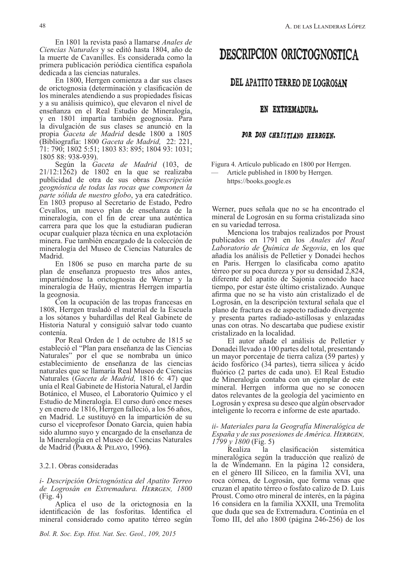En 1801 la revista pasó a llamarse *Anales de Ciencias Naturales* y se editó hasta 1804, año de la muerte de Cavanilles. Es considerada como la primera publicación periódica científica española dedicada a las ciencias naturales.

En 1800, Herrgen comienza a dar sus clases de orictognosia (determinación y clasificación de los minerales atendiendo a sus propiedades físicas y a su análisis químico), que elevaron el nivel de enseñanza en el Real Estudio de Mineralogía, y en 1801 impartía también geognosia. Para la divulgación de sus clases se anunció en la propia *Gaceta de Madrid* desde 1800 a 1805 (Bibliografía: 1800 *Gaceta de Madrid,* 22: 221, 71: 790; 1802 5:51; 1803 83: 895; 1804 93: 1031; 1805 88: 938-939).

Según la *Gaceta de Madrid* (103, de 21/12:1262) de 1802 en la que se realizaba publicidad de otra de sus obras *Descripción geognóstica de todas las rocas que componen la parte sólida de nuestro globo*, ya era catedrático. En 1803 propuso al Secretario de Estado, Pedro Cevallos, un nuevo plan de enseñanza de la mineralogía, con el fin de crear una auténtica carrera para que los que la estudiaran pudieran ocupar cualquier plaza técnica en una explotación minera. Fue también encargado de la colección de mineralogía del Museo de Ciencias Naturales de Madrid.

En 1806 se puso en marcha parte de su plan de enseñanza propuesto tres años antes, impartiéndose la orictognosia de Werner y la mineralogía de Haüy, mientras Herrgen impartía la geognosia.

Con la ocupación de las tropas francesas en 1808, Herrgen trasladó el material de la Escuela a los sótanos y buhardillas del Real Gabinete de Historia Natural y consiguió salvar todo cuanto contenía.

Por Real Orden de 1 de octubre de 1815 se estableció el "Plan para enseñanza de las Ciencias Naturales" por el que se nombraba un único establecimiento de enseñanza de las ciencias naturales que se llamaría Real Museo de Ciencias Naturales (*Gaceta de Madrid,* 1816 6: 47) que unía el Real Gabinete de Historia Natural, el Jardín Botánico, el Museo, el Laboratorio Químico y el Estudio de Mineralogía. El curso duró once meses y en enero de 1816, Herrgen falleció, a los 56 años, en Madrid. Le sustituyó en la impartición de su curso el viceprofesor Donato García, quien había sido alumno suyo y encargado de la enseñanza de la Mineralogía en el Museo de Ciencias Naturales de Madrid (Parra & Pelayo, 1996**)**.

### 3.2.1. Obras consideradas

## *i- Descripción Orictognóstica del Apatito Terreo de Logrosán en Extremadura. Herrgen, 1800* (Fig. 4)

Aplica el uso de la orictognosia en la identificación de las fosforitas. Identifica el mineral considerado como apatito térreo según

# DESCRIPCION ORICTOGNOSTICA

## DEL APATITO TERREO DE LOGROSAN

## EN EXTREMADURA.

## POR DON CHRISTIANO HERRGEN.

Figura 4. Artículo publicado en 1800 por Herrgen. — Article published in 1800 by Herrgen. https://books.google.es

Werner, pues señala que no se ha encontrado el mineral de Logrosán en su forma cristalizada sino en su variedad terrosa.

Menciona los trabajos realizados por Proust publicados en 1791 en los *Anales del Real Laboratorio de Química de Segovia*, en los que añadía los análisis de Pelletier y Donadei hechos en Paris. Herrgen lo clasificaba como apatito térreo por su poca dureza y por su densidad 2,824, diferente del apatito de Sajonia conocido hace tiempo, por estar éste último cristalizado. Aunque afirma que no se ha visto aún cristalizado el de Logrosán, en la descripción textural señala que el plano de fractura es de aspecto radiado divergente y presenta partes radiado-astillosas y enlazadas unas con otras. No descartaba que pudiese existir cristalizado en la localidad.

El autor añade el análisis de Pelletier y Donadei llevado a 100 partes del total, presentando un mayor porcentaje de tierra caliza (59 partes) y ácido fosfórico (34 partes), tierra silícea y ácido fluórico (2 partes de cada uno). El Real Estudio de Mineralogía contaba con un ejemplar de este mineral. Herrgen informa que no se conocen datos relevantes de la geología del yacimiento en Logrosán y expresa su deseo que algún observador inteligente lo recorra e informe de este apartado.

## *ii- Materiales para la Geografía Mineralógica de España y de sus posesiones de América. Herrgen, 1799 y 1800* (Fig. 5)

Realiza la clasificación sistemática mineralógica según la traducción que realizó de la de Windemann. En la página 12 considera, en el género III Silíceo, en la familia XVI, una roca córnea, de Logrosán, que forma venas que cruzan el apatito térreo o fosfato calizo de D. Luis Proust. Como otro mineral de interés, en la página 16 considera en la familia XXXII, una Tremolita que duda que sea de Extremadura. Continúa en el Tomo III, del año 1800 (página 246-256) de los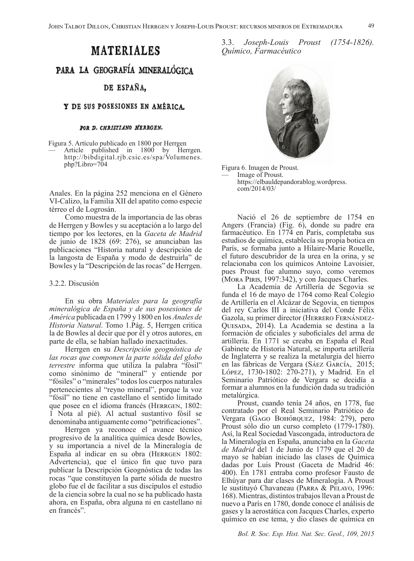## DE ESPAÑA.

## Y DE SUS POSESIONES EN AMÉRICA.

#### POR D. CHRISTIANO HERRGEN.

Figura 5. Artículo publicado en 1800 por Herrgen Article published in 1800 by Herrgen. http://bibdigital.rjb.csic.es/spa/Volumenes.<br>php?Libro=704

Anales. En la página 252 menciona en el Género VI-Calizo, la Familia XII del apatito como especie térreo el de Logrosán.

Como muestra de la importancia de las obras de Herrgen y Bowles y su aceptación a lo largo del tiempo por los lectores, en la *Gaceta de Madrid* de junio de 1828 (69: 276), se anunciaban las publicaciones "Historia natural y descripción de la langosta de España y modo de destruirla" de Bowles y la "Descripción de las rocas" de Herrgen.

#### 3.2.2. Discusión

En su obra *Materiales para la geografía mineralógica de España y de sus posesiones de América* publicada en 1799 y 1800 en los *Anales de Historia Natural*. Tomo 1.Pág. 5, Herrgen critica la de Bowles al decir que por él y otros autores, en parte de ella, se habían hallado inexactitudes.

Herrgen en su *Descripción geognóstica de las rocas que componen la parte sólida del globo terrestre* informa que utiliza la palabra "fósil" como sinónimo de "mineral" y entiende por "fósiles" o "minerales" todos los cuerpos naturales pertenecientes al "reyno mineral", porque la voz "fósil" no tiene en castellano el sentido limitado que posee en el idioma francés (HERRGEN, 1802: 1 Nota al pié). Al actual sustantivo fósil se denominaba antiguamente como "petrificaciones".

Herrgen ya reconoce el avance técnico progresivo de la analítica química desde Bowles, y su importancia a nivel de la Mineralogía de España al indicar en su obra (HERRGEN 1802: Advertencia), que el único fin que tuvo para publicar la Descripción Geognóstica de todas las rocas "que constituyen la parte sólida de nuestro globo fue el de facilitar a sus discípulos el estudio de la ciencia sobre la cual no se ha publicado hasta ahora, en España, obra alguna ni en castellano ni en francés".

3.3. *Joseph-Louis Proust (1754-1826). Químico, Farmacéutico* 



Figura 6. Imagen de Proust. Image of Proust. https://elbauldepandorablog.wordpress. com/2014/03/

Nació el 26 de septiembre de 1754 en Angers (Francia) (Fig. 6), donde su padre era farmacéutico. En 1774 en París, completaba sus estudios de química, establecía su propia botica en París, se formaba junto a Hilaire-Marie Rouelle, el futuro descubridor de la urea en la orina, y se relacionaba con los químicos Antoine Lavoisier, pues Proust fue alumno suyo, como veremos (Mora Piris, 1997:342), y con Jacques Charles.

La Academia de Artillería de Segovia se funda el 16 de mayo de 1764 como Real Colegio de Artillería en el Alcázar de Segovia, en tiempos del rey Carlos III a iniciativa del Conde Félix Gazola, su primer director (Herrero Fernández-QUESADA, 2014). La Academia se destina a la formación de oficiales y suboficiales del arma de artillería. En 1771 se creaba en España el Real Gabinete de Historia Natural, se importa artillería de Inglaterra y se realiza la metalurgia del hierro en las fábricas de Vergara (Sáez García, 2015; López, 1730-1802: 270-271), y Madrid. En el Seminario Patriótico de Vergara se decidía a formar a alumnos en la fundición dada su tradición metalúrgica.

Proust, cuando tenía 24 años, en 1778, fue contratado por el Real Seminario Patriótico de Vergara (Gago Bohórquez, 1984: 279), pero Proust sólo dio un curso completo (1779-1780). Así, la Real Sociedad Vascongada, introductora de la Mineralogía en España, anunciaba en la *Gaceta de Madrid* del 1 de Junio de 1779 que el 20 de mayo se habían iniciado las clases de Química dadas por Luis Proust (Gaceta de Madrid 46: 400). En 1781 entraba como profesor Fausto de Elhúyar para dar clases de Mineralogía. A Proust le sustituyó Chavaneau (Parra & Pelayo, 1996: 168). Mientras, distintos trabajos llevan a Proust de nuevo a París en 1780, donde conoce el análisis de gases y la aerostática con Jacques Charles, experto químico en ese tema, y dio clases de química en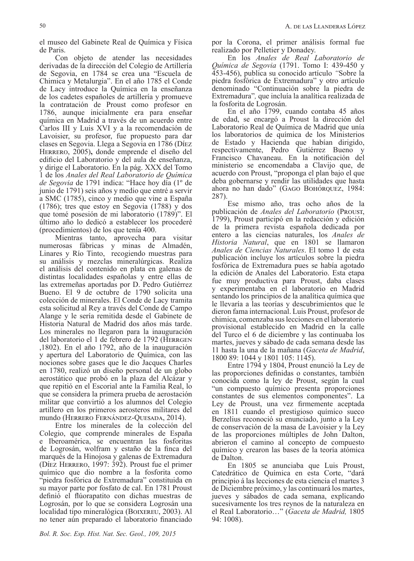el museo del Gabinete Real de Química y Física de Paris.

Con objeto de atender las necesidades derivadas de la dirección del Colegio de Artillería de Segovia, en 1784 se crea una "Escuela de Chimica y Metalurgia". En el año 1785 el Conde de Lacy introduce la Química en la enseñanza de los cadetes españoles de artillería y promueve la contratación de Proust como profesor en 1786, aunque inicialmente era para enseñar química en Madrid a través de un acuerdo entre Carlos III y Luis XVI y a la recomendación de Lavoisier, su profesor, fue propuesto para dar clases en Segovia. Llega a Segovia en 1786 (Díez Herrero, 2005)**,** donde emprende el diseño del edificio del Laboratorio y del aula de enseñanza, y dirige el Laboratorio. En la pág. XXX del Tomo 1 de los *Anales del Real Laboratorio de Química de Segovia* de 1791 indica: "Hace hoy día (1º de junio de 1791) seis años y medio que entré a servir a SMC (1785), cinco y medio que vine a España (1786); tres que estoy en Segovia (1788) y dos que tomé posesión de mi laboratorio (1789)". El último año lo dedicó a establecer los procederé (procedimientos) de los que tenía 400.

Mientras tanto, aprovecha para visitar numerosas fábricas y minas de Almadén, Linares y Río Tinto, recogiendo muestras para su análisis y mezclas mineralúrgicas. Realiza el análisis del contenido en plata en galenas de distintas localidades españolas y entre ellas de las extremeñas aportadas por D. Pedro Gutiérrez Bueno. El 9 de octubre de 1790 solicita una colección de minerales. El Conde de Lacy tramita esta solicitud al Rey a través del Conde de Campo Alange y le sería remitida desde el Gabinete de Historia Natural de Madrid dos años más tarde. Los minerales no llegaron para la inauguración del laboratorio el 1 de febrero de 1792 (HERRGEN ,1802). En el año 1792, año de la inauguración y apertura del Laboratorio de Química, con las nociones sobre gases que le dio Jacques Charles en 1780, realizó un diseño personal de un globo aerostático que probó en la plaza del Alcázar y que repitió en el Escorial ante la Familia Real, lo que se considera la primera prueba de aerostación militar que convirtió a los alumnos del Colegio artillero en los primeros aerosteros militares del mundo (Herrero Fernández-Quesada, 2014).

Entre los minerales de la colección del Colegio, que comprende minerales de España e Iberoamérica, se encuentran las fosforitas de Logrosán, wolfram y estaño de la finca del marqués de la Hinojosa y galenas de Extremadura (Díez Herrero, 1997: 392). Proust fue el primer químico que dio nombre a la fosforita como "piedra fosfórica de Extremadura" constituida en su mayor parte por fosfato de cal. En 1781 Proust definió el flúorapatito con dichas muestras de Logrosán, por lo que se considera Logrosán una localidad tipo mineralógica (Boixereu, 2003). Al no tener aún preparado el laboratorio financiado

*Bol. R. Soc. Esp. Hist. Nat. Sec. Geol., 109, 2015*

por la Corona, el primer análisis formal fue realizado por Pelletier y Donadey.

En los *Anales de Real Laboratorio de Química de Segovia* (1791. Tomo I: 439-450 y 453-456), publica su conocido artículo *"*Sobre la piedra fosfórica de Extremadura" y otro artículo denominado "Continuación sobre la piedra de Extremadura"*,* que incluía la analítica realizada de la fosforita de Logrosán.

En el año 1799, cuando contaba 45 años de edad, se encargó a Proust la dirección del Laboratorio Real de Química de Madrid que unía los laboratorios de química de los Ministerios de Estado y Hacienda que habían dirigido, respectivamente, Pedro Gutiérrez Bueno y Francisco Chavaneau. En la notificación del ministerio se encomendaba a Clavijo que, de acuerdo con Proust, "proponga el plan bajo el que deba gobernarse y rendir las utilidades que hasta ahora no han dado" (Gago Bohórquez, 1984: 287).

Ese mismo año, tras ocho años de la publicación de *Anales del Laboratorio* (Proust, 1799), Proust participó en la redacción y edición de la primera revista española dedicada por entero a las ciencias naturales, los *Anales de Historia Natural*, que en 1801 se llamaron *Anales de Ciencias Naturales*. El tomo 1 de esta publicación incluye los artículos sobre la piedra fosfórica de Extremadura pues se había agotado la edición de Anales del Laboratorio. Esta etapa fue muy productiva para Proust, daba clases y experimentaba en el laboratorio en Madrid sentando los principios de la analítica química que le llevaría a las teorías y descubrimientos que le dieron fama internacional. Luis Proust, profesor de chimica, comenzaba sus lecciones en el laboratorio provisional establecido en Madrid en la calle del Turco el 6 de diciembre y las continuaba los martes, jueves y sábado de cada semana desde las 11 hasta la una de la mañana (*Gaceta de Madrid*, 1800 89: 1044 y 1801 105: 1145).

Entre 1794 y 1804, Proust enunció la Ley de las proporciones definidas o constantes, también conocida como la ley de Proust, según la cual "un compuesto químico presenta proporciones constantes de sus elementos componentes". La Ley de Proust, una vez firmemente aceptada en 1811 cuando el prestigioso químico sueco Berzelius reconoció su enunciado, junto a la Ley de conservación de la masa de Lavoisier y la Ley de las proporciones múltiples de John Dalton, abrieron el camino al concepto de compuesto químico y crearon las bases de la teoría atómica de Dalton.

En 1805 se anunciaba que Luis Proust, Catedrático de Química en esta Corte, "dará principio á las lecciones de esta ciencia el martes 3 de Diciembre próximo, y las continuará los martes, jueves y sábados de cada semana, explicando sucesivamente los tres reynos de la naturaleza en el Real Laboratorio…" (*Gaceta de Madrid,* 1805 94: 1008).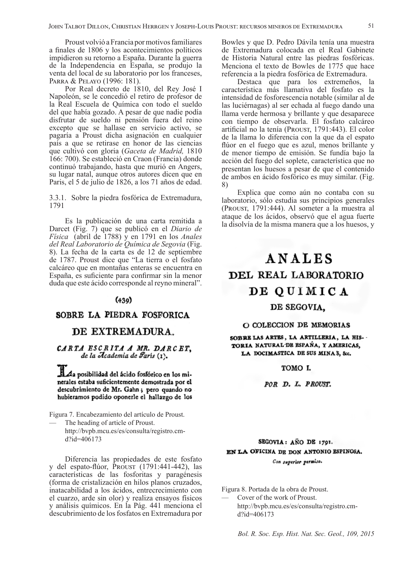Proust volvió a Francia por motivos familiares a finales de 1806 y los acontecimientos políticos impidieron su retorno a España. Durante la guerra de la Independencia en España, se produjo la venta del local de su laboratorio por los franceses, Parra & Pelayo (1996: 181).

Por Real decreto de 1810, del Rey José I Napoleón, se le concedió el retiro de profesor de la Real Escuela de Química con todo el sueldo del que había gozado. A pesar de que nadie podía disfrutar de sueldo ni pensión fuera del reino excepto que se hallase en servicio activo, se pagaría a Proust dicha asignación en cualquier país a que se retirase en honor de las ciencias que cultivó con gloria (*Gaceta de Madrid,* 1810 166: 700). Se estableció en Craon (Francia) donde continuó trabajando, hasta que murió en Angers, su lugar natal, aunque otros autores dicen que en Paris, el 5 de julio de 1826, a los 71 años de edad.

3.3.1. Sobre la piedra fosfórica de Extremadura, 1791

Es la publicación de una carta remitida a Darcet (Fig. 7) que se publicó en el *Diario de Física* (abril de 1788) y en 1791 en los *Anales del Real Laboratorio de Química de Segovia* (Fig. 8). La fecha de la carta es de 12 de septiembre de 1787. Proust dice que "La tierra o el fosfato calcáreo que en montañas enteras se encuentra en España, es suficiente para confirmar sin la menor duda que este ácido corresponde al reyno mineral".

### $(439)$

## SOBRE LA PIEDRA FOSFORICA

## DE EXTREMADURA.

CARTA ESCRITA A MR. DARCET, de la Academia de París (1).

Aa posibilidad del ácido fosfórico en los minerales estaba suficientemente demostrada por el descubrimiento de Mr. Gahn; pero quando no hubieramos podido oponerle el hallazgo de los

Figura 7. Encabezamiento del artículo de Proust.

The heading of article of Proust. http://bvpb.mcu.es/es/consulta/registro.cmd?id=406173

Diferencia las propiedades de este fosfato y del espato-flúor, Proust (1791:441-442), las características de las fosforitas y paragénesis (forma de cristalización en hilos planos cruzados, inatacabilidad a los ácidos, entrecrecimiento con el cuarzo, arde sin olor) y realiza ensayos físicos y análisis químicos. En la Pág. 441 menciona el descubrimiento de los fosfatos en Extremadura por

Bowles y que D. Pedro Dávila tenía una muestra de Extremadura colocada en el Real Gabinete de Historia Natural entre las piedras fosfóricas. Menciona el texto de Bowles de 1775 que hace referencia a la piedra fosfórica de Extremadura.

Destaca que para los extremeños, la característica más llamativa del fosfato es la intensidad de fosforescencia notable (similar al de las luciérnagas) al ser echada al fuego dando una llama verde hermosa y brillante y que desaparece con tiempo de observarla. El fosfato calcáreo artificial no la tenía (Proust, 1791:443). El color de la llama lo diferencia con la que da el espato flúor en el fuego que es azul, menos brillante y de menor tiempo de emisión. Se fundía bajo la acción del fuego del soplete, característica que no presentan los huesos a pesar de que el contenido de ambos en ácido fosfórico es muy similar. (Fig. 8)

Explica que como aún no contaba con su laboratorio, sólo estudia sus principios generales (Proust, 1791:444). Al someter a la muestra al ataque de los ácidos, observó que el agua fuerte la disolvía de la misma manera que a los huesos, y

# ANALES DEL REAL LABORATORIO DE QUIMICA DE SEGOVIA.

## O COLECCION DE MEMORIAS

SOBRE LAS ARTES, LA ARTILLERIA, LA HIS-TORIA NATURAL DE ESPAÑA, Y AMERICAS, LA DOCIMASTICA DE SUS MINAS, &c.

TOMO I.

POR D. L. PROUST.

## SEGOVIA: ANO DE 1791. EN LA OFICINA DE DON ANTONIO ESPINOSA. Con superior permiso.

Figura 8. Portada de la obra de Proust.

Cover of the work of Proust. http://bvpb.mcu.es/es/consulta/registro.cmd?id=406173

*Bol. R. Soc. Esp. Hist. Nat. Sec. Geol., 109, 2015*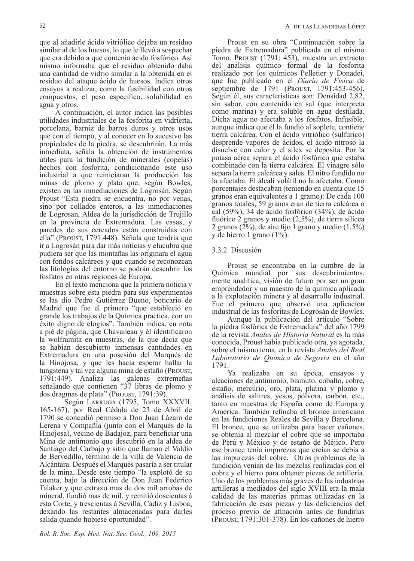que al añadirle ácido vitriólico dejaba un residuo similar al de los huesos, lo que le llevó a sospechar que era debido a que contenía ácido fosfórico. Así mismo informaba que el residuo obtenido daba una cantidad de vidrio similar a la obtenida en el residuo del ataque ácido de huesos. Indica otros ensayos a realizar, como la fusibilidad con otros compuestos, el peso específico, solubilidad en agua y otros.

A continuación, el autor indica las posibles utilidades industriales de la fosforita en vidriería, porcelana, barniz de barros duros y otros usos que con el tiempo, y al conocer en lo sucesivo las propiedades de la piedra, se descubrirán. La más inmediata, señala la obtención de instrumentos útiles para la fundición de minerales (copelas) hechos con fosforita, condicionando este uso industrial a que reiniciaran la producción las minas de plomo y plata que, según Bowles, existen en las inmediaciones de Logrosán. Según Proust "Esta piedra se encuentra, no por venas, sino por collados enteros, a las inmediaciones de Logrosan, Aldea de la jurisdicción de Trujillo en la provincia de Extremadura. Las casas, y paredes de sus cercados están construidas con ella" (Proust, 1791:448). Señala que tendría que ir a Logrosán para dar más noticias y elucubra que pudiera ser que las montañas las originara el agua con fondos calcáreos y que cuando se reconozcan las litologías del entorno se podrán descubrir los fosfatos en otras regiones de Europa.

En el texto menciona que la primera noticia y muestras sobre esta piedra para sus experimentos se las dio Pedro Gutiérrez Bueno, boticario de Madrid que fue el primero "que estableció en grande los trabajos de la Química practica, con un éxito digno de elogios". También indica, en nota a pié de página, que Chavaneau y él identificaron la wolframita en muestras, de la que decía que se habían descubierto inmensas cantidades en Extremadura en una posesión del Marqués de la Hinojosa, y que les hacía esperar hallar la tungstena y tal vez alguna mina de estaño (Proust, 1791:449). Analiza las galenas extremeñas señalando que contienen "37 libras de plomo y dos dragmas de plata" (Proust, 1791:39).

Según Larruga (1795, Tomo XXXVII: 165-167), por Real Cédula de 23 de Abril de 1790 se concedió permiso á Don Juan Lázaro de Lerena y Compañía (junto con el Marqués de la Hinojosa), vecino de Badajoz, para beneficiar una Mina de antimonio que descubrió en la aldea de Santiago del Carbajo y sitio que llaman el Valdío de Bervedillo, término de la villa de Valencia de Alcántara. Después el Marqués pasaría a ser titular de la mina. Desde este tiempo "la explotó de su cuenta, bajo la dirección de Don Juan Federico Talaker y que extraxo mas de dos mil arrobas de mineral, fundió mas de mil, y remitió doscientas á esta Corte, y trescientas á Sevilla, Cádiz y Lisboa, dexando las restantes almacenadas para darles salida quando hubiese oportunidad".

Proust en su obra "Continuación sobre la piedra de Extremadura" publicada en el mismo Tomo, Proust (1791: 453), muestra un extracto del análisis químico formal de la fosforita realizado por los químicos Pelletier y Donadei, que fue publicado en el *Diario de Física* de septiembre de 1791 (Proust, 1791:453-456)**.** Según él, sus características son: Densidad 2,82, sin sabor, con contenido en sal (que interpreta como marina) y era soluble en agua destilada. Dicha agua no afectaba a los fosfatos. Infusible, aunque indica que él la fundió al soplete, contiene tierra calcárea. Con el ácido vitriólico (sulfúrico) desprende vapores de ácidos, el ácido nítroso la disuelve con calor y el silex se deposita. Por la potasa aérea separa el ácido fosfórico que estaba combinado con la tierra calcárea. El vinagre sólo separa la tierra calcárea y sales. El nitro fundido no la afectaba. El álcali volátil no la afectaba. Como porcentajes destacaban (teniendo en cuenta que 15 granos eran equivalentes a 1 gramo): De cada 100 granos totales, 59 granos eran de tierra calcárea o cal (59%), 34 de ácido fosfórico (34%), de ácido fluórico 2 granos y medio (2,5%), de tierra silícea 2 granos (2%), de aire fijo 1 grano y medio (1,5%) y de hierro 1 grano (1%).

## 3.3.2. Discusión

Proust se encontraba en la cumbre de la Química mundial por sus descubrimientos, mente analítica, visión de futuro por ser un gran emprendedor y un maestro de la química aplicada a la explotación minera y al desarrollo industrial. Fue el primero que observó una aplicación industrial de las fosforitas de Logrosán de Bowles.

Aunque la publicación del artículo "Sobre la piedra fosfórica de Extremadura" del año 1799 de la revista *Anales de Historia Natural* es la más conocida, Proust había publicado otra, ya agotada, sobre el mismo tema, en la revista *Anales del Real Laboratorio de Química de Segovia* en el año 1791.

Ya realizaba en su época, ensayos y aleaciones de antimonio, bismuto, cobalto, cobre, estaño, mercurio, oro, plata, platina y plomo y análisis de salitres, yesos, pólvora, carbón, etc., tanto en muestras de España como de Europa y América. También refinaba el bronce americano en las fundiciones Reales de Sevilla y Barcelona. El bronce, que se utilizaba para hacer cañones, se obtenía al mezclar el cobre que se importaba de Perú y México y de estaño de Méjico. Pero ese bronce tenía impurezas que creían se debía a las impurezas del cobre. Otros problemas de la fundición venían de las mezclas realizadas con el cobre y el hierro para obtener piezas de artillería. Uno de los problemas más graves de las industrias artilleras a mediados del siglo XVIII era la mala calidad de las materias primas utilizadas en la fabricación de esas piezas y las deficiencias del proceso previo de afinación antes de fundirlas (Proust, 1791:301-378). En los cañones de hierro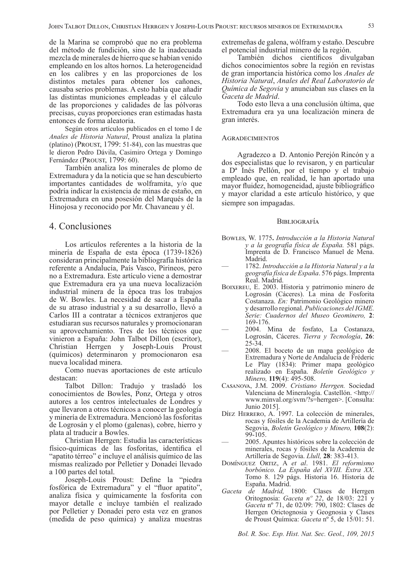de la Marina se comprobó que no era problema del método de fundición, sino de la inadecuada mezcla de minerales de hierro que se habían venido empleando en los altos hornos. La heterogeneidad en los calibres y en las proporciones de los distintos metales para obtener los cañones, causaba serios problemas. A esto había que añadir las distintas municiones empleadas y el cálculo de las proporciones y calidades de las pólvoras precisas, cuyas proporciones eran estimadas hasta entonces de forma aleatoria.

Según otros artículos publicados en el tomo I de *Anales de Historia Natural*, Proust analiza la platina (platino) (Proust, 1799: 51-84), con las muestras que le dieron Pedro Dávila, Casimiro Ortega y Domingo Fernández (PROUST, 1799: 60).

También analiza los minerales de plomo de Extremadura y da la noticia que se han descubierto importantes cantidades de wolframita, y/o que podría indicar la existencia de minas de estaño, en Extremadura en una posesión del Marqués de la Hinojosa y reconocido por Mr. Chavaneau y él.

## 4. Conclusiones

Los artículos referentes a la historia de la minería de España de esta época (1739-1826) consideran principalmente la bibliografía histórica referente a Andalucía, País Vasco, Pirineos, pero no a Extremadura. Este artículo viene a demostrar que Extremadura era ya una nueva localización industrial minera de la época tras los trabajos de W. Bowles. La necesidad de sacar a España de su atraso industrial y a su desarrollo, llevó a Carlos III a contratar a técnicos extranjeros que estudiaran sus recursos naturales y promocionaran su aprovechamiento. Tres de los técnicos que vinieron a España: John Talbot Dillon (escritor), Christian Herrgen y Joseph-Louis Proust (químicos) determinaron y promocionaron esa nueva localidad minera.

Como nuevas aportaciones de este artículo destacan:

Talbot Dillon: Tradujo y trasladó los conocimientos de Bowles, Ponz, Ortega y otros autores a los centros intelectuales de Londres y que llevaron a otros técnicos a conocer la geología y minería de Extremadura. Mencionó las fosforitas de Logrosán y el plomo (galenas), cobre, hierro y plata al traducir a Bowles.

Christian Herrgen: Estudia las características físico-químicas de las fosforitas, identifica el "apatito térreo" e incluye el análisis químico de las mismas realizado por Pelletier y Donadei llevado a 100 partes del total.

Joseph-Louis Proust: Define la "piedra fosfórica de Extremadura" y el "fluor apatito", analiza física y químicamente la fosforita con mayor detalle e incluye también el realizado por Pelletier y Donadei pero esta vez en granos (medida de peso química) y analiza muestras

extremeñas de galena, wólfram y estaño. Descubre el potencial industrial minero de la región.

También dichos científicos divulgaban dichos conocimientos sobre la región en revistas de gran importancia histórica como los *Anales de Historia Natural*, *Anales del Real Laboratorio de Química de Segovia* y anunciaban sus clases en la *Gaceta de Madrid*.

Todo esto lleva a una conclusión última, que Extremadura era ya una localización minera de gran interés.

#### **AGRADECIMIENTOS**

Agradezco a D. Antonio Perejón Rincón y a dos especialistas que lo revisaron, y en particular a Dª Inés Pellón, por el tiempo y el trabajo empleado que, en realidad, le han aportado una mayor fluidez, homogeneidad, ajuste bibliográfico y mayor claridad a este artículo histórico, y que siempre son impagadas.

#### **BIBLIOGRAFÍA**

- Bowles, W. 1775**.** *Introducción a la Historia Natural y a la geografía física de España.* 581 págs. Imprenta de D. Francisco Manuel de Mena. Madrid.
- 1782. *Introducción a la Historia Natural y a la geografía física de España*. 576 págs. Imprenta Real. Madrid.
- Boixereu, E. 2003. Historia y patrimonio minero de Logrosán (Cáceres). La mina de Fosforita Costanaza. *En:* Patrimonio Geológico minero y desarrollo regional. *Publicaciones del IGME. Serie: Cuadernos del Museo Geominero,* **2**: 169-176.
- 2004. Mina de fosfato, La Costanaza, Logrosán, Cáceres. *Tierra y Tecnología*, **26**: 25-34.
- 2008. El boceto de un mapa geológico de Extremadura y Norte de Andalucía de Fréderic Le Play (1834): Primer mapa geológico realizado en España. *Boletín Geológico y Minero,* **119**(4): 495-508.
- Casanova, J.M. 2009. *Cristiano Herrgen.* Sociedad Valenciana de Mineralogía. Castellón. <http:// www.minval.org/svm/?s=herrgen>. [Consulta: Junio 2015].
- Díez Herrero, A. 1997. La colección de minerales, rocas y fósiles de la Academia de Artillería de Segovia, *Boletín Geológico y Minero,* **108**(2): 99-105.
- 2005. Apuntes históricos sobre la colección de minerales, rocas y fósiles de la Academia de Artillería de Segovia. *Llull,* **28**: 383-413.
- Domínguez Ortiz, A *et al*. 1981. *El reformismo borbónico. La España del XVIII. Extra XX*. Tomo 8. 129 págs. Historia 16. Historia de España. Madrid.
- *Gaceta de Madrid,* 1800: Clases de Herrgen Oritognosia: *Gaceta nº 22*, de 18/03: 221 y *Gaceta* nº 71, de 02/09: 790, 1802: Clases de Herrgen Orictognosia y Geognosia y Clases de Proust Química: *Gaceta* nº 5, de 15/01: 51.